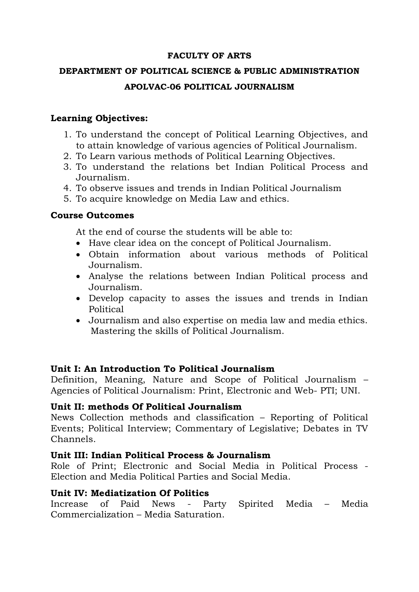#### **FACULTY OF ARTS**

# **DEPARTMENT OF POLITICAL SCIENCE & PUBLIC ADMINISTRATION APOLVAC-06 POLITICAL JOURNALISM**

### **Learning Objectives:**

- 1. To understand the concept of Political Learning Objectives, and to attain knowledge of various agencies of Political Journalism.
- 2. To Learn various methods of Political Learning Objectives.
- 3. To understand the relations bet Indian Political Process and Journalism.
- 4. To observe issues and trends in Indian Political Journalism
- 5. To acquire knowledge on Media Law and ethics.

## **Course Outcomes**

At the end of course the students will be able to:

- Have clear idea on the concept of Political Journalism.
- Obtain information about various methods of Political Journalism.
- Analyse the relations between Indian Political process and Journalism.
- Develop capacity to asses the issues and trends in Indian Political
- Journalism and also expertise on media law and media ethics. Mastering the skills of Political Journalism.

# **Unit I: An Introduction To Political Journalism**

Definition, Meaning, Nature and Scope of Political Journalism – Agencies of Political Journalism: Print, Electronic and Web- PTI; UNI.

# **Unit II: methods Of Political Journalism**

News Collection methods and classification – Reporting of Political Events; Political Interview; Commentary of Legislative; Debates in TV Channels.

# **Unit III: Indian Political Process & Journalism**

Role of Print; Electronic and Social Media in Political Process - Election and Media Political Parties and Social Media.

#### **Unit IV: Mediatization Of Politics**

Increase of Paid News - Party Spirited Media – Media Commercialization – Media Saturation.